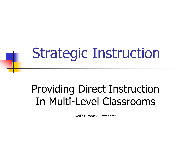# Strategic Instruction

#### Providing Direct Instruction In Multi-Level Classrooms

Neil Sturomski, Presenter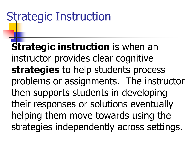### Strategic Instruction

**Strategic instruction** is when an instructor provides clear cognitive **strategies** to help students process problems or assignments. The instructor then supports students in developing their responses or solutions eventually helping them move towards using the strategies independently across settings.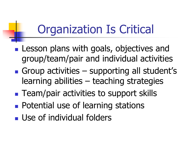## Organization Is Critical

- Lesson plans with goals, objectives and group/team/pair and individual activities
- Group activities supporting all student's learning abilities – teaching strategies
- Team/pair activities to support skills
- Potential use of learning stations
- Use of individual folders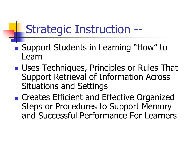## Strategic Instruction --

- Support Students in Learning "How" to Learn
- Uses Techniques, Principles or Rules That Support Retrieval of Information Across Situations and Settings

■ Creates Efficient and Effective Organized Steps or Procedures to Support Memory and Successful Performance For Learners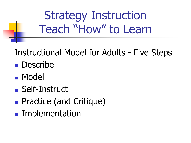Strategy Instruction Teach "How" to Learn

#### Instructional Model for Adults - Five Steps

- Describe
- Model
- Self-Instruct
- Practice (and Critique)
- Implementation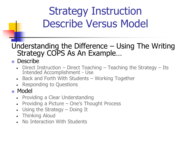#### Strategy Instruction Describe Versus Model

#### Understanding the Difference – Using The Writing Strategy COPS As An Example…

#### • Describe

- Direct Instruction Direct Teaching Teaching the Strategy Its Intended Accomplishment - Use
- Back and Forth With Students Working Together
- **Responding to Questions**

#### Model

- **Providing a Clear Understanding**
- **Providing a Picture One's Thought Process**
- Using the Strategy Doing It
- Thinking Aloud
- No Interaction With Students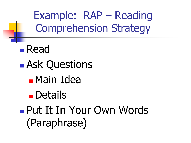Example: RAP – Reading Comprehension Strategy

■ Read ■ Ask Questions <sup>◼</sup>Main Idea **■** Details ■ Put It In Your Own Words (Paraphrase)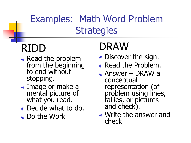#### Examples: Math Word Problem **Strategies**

#### RIDD

- Read the problem from the beginning to end without stopping.
- Image or make a mental picture of what you read.
- Decide what to do.
- Do the Work

## DRAW

- Discover the sign.
- Read the Problem.
- Answer DRAW a conceptual representation (of problem using lines, tallies, or pictures and check).
- Write the answer and check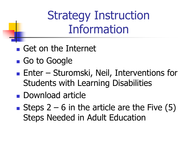Strategy Instruction Information

- Get on the Internet
- Go to Google
- Enter Sturomski, Neil, Interventions for Students with Learning Disabilities
- Download article
- Steps  $2 6$  in the article are the Five  $(5)$ Steps Needed in Adult Education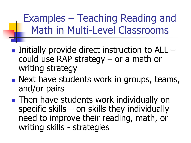Examples – Teaching Reading and Math in Multi-Level Classrooms

- $\blacksquare$  Initially provide direct instruction to ALL  $\blacksquare$ could use RAP strategy – or a math or writing strategy
- Next have students work in groups, teams, and/or pairs
- Then have students work individually on specific skills – on skills they individually need to improve their reading, math, or writing skills - strategies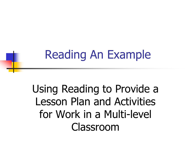## Reading An Example

Using Reading to Provide a Lesson Plan and Activities for Work in a Multi-level Classroom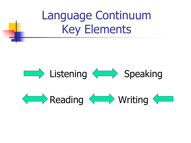

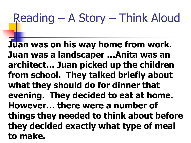## Reading – A Story – Think Aloud

**Juan was on his way home from work. Juan was a landscaper …Anita was an architect… Juan picked up the children from school. They talked briefly about what they should do for dinner that evening. They decided to eat at home. However… there were a number of things they needed to think about before they decided exactly what type of meal to make.**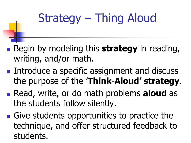# Strategy – Thing Aloud

- Begin by modeling this **strategy** in reading, writing, and/or math.
- Introduce a specific assignment and discuss the purpose of the '**Think**-**Aloud' strategy**.
- Read, write, or do math problems **aloud** as the students follow silently.
- Give students opportunities to practice the technique, and offer structured feedback to students.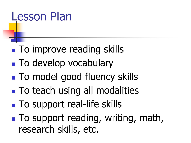### Lesson Plan

- To improve reading skills
- To develop vocabulary
- To model good fluency skills
- To teach using all modalities
- To support real-life skills
- To support reading, writing, math, research skills, etc.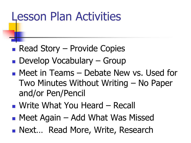### Lesson Plan Activities

- $\blacksquare$  Read Story Provide Copies
- Develop Vocabulary Group
- Meet in Teams Debate New vs. Used for Two Minutes Without Writing – No Paper and/or Pen/Pencil
- Write What You Heard Recall
- Meet Again Add What Was Missed
- Next... Read More, Write, Research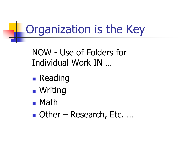## Organization is the Key

NOW - Use of Folders for Individual Work IN …

- Reading
- Writing
- Math
- Other Research, Etc. ...